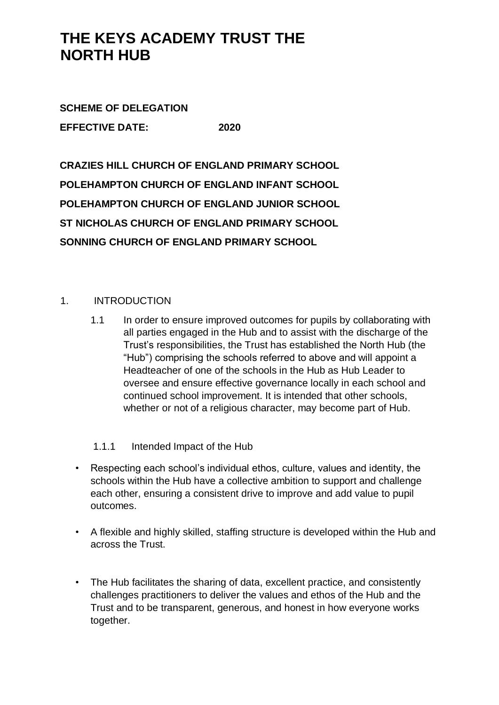**SCHEME OF DELEGATION EFFECTIVE DATE: 2020**

**CRAZIES HILL CHURCH OF ENGLAND PRIMARY SCHOOL POLEHAMPTON CHURCH OF ENGLAND INFANT SCHOOL POLEHAMPTON CHURCH OF ENGLAND JUNIOR SCHOOL ST NICHOLAS CHURCH OF ENGLAND PRIMARY SCHOOL SONNING CHURCH OF ENGLAND PRIMARY SCHOOL** 

#### 1. INTRODUCTION

1.1 In order to ensure improved outcomes for pupils by collaborating with all parties engaged in the Hub and to assist with the discharge of the Trust's responsibilities, the Trust has established the North Hub (the "Hub") comprising the schools referred to above and will appoint a Headteacher of one of the schools in the Hub as Hub Leader to oversee and ensure effective governance locally in each school and continued school improvement. It is intended that other schools, whether or not of a religious character, may become part of Hub.

#### 1.1.1 Intended Impact of the Hub

- Respecting each school's individual ethos, culture, values and identity, the schools within the Hub have a collective ambition to support and challenge each other, ensuring a consistent drive to improve and add value to pupil outcomes.
- A flexible and highly skilled, staffing structure is developed within the Hub and across the Trust.
- The Hub facilitates the sharing of data, excellent practice, and consistently challenges practitioners to deliver the values and ethos of the Hub and the Trust and to be transparent, generous, and honest in how everyone works together.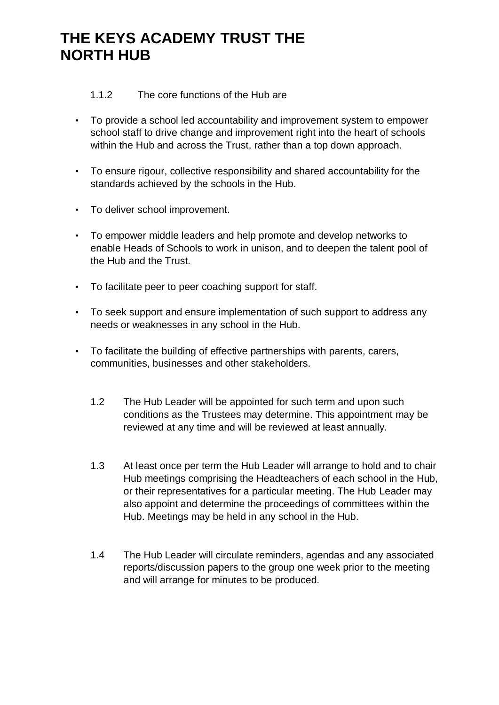#### 1.1.2 The core functions of the Hub are

- To provide a school led accountability and improvement system to empower school staff to drive change and improvement right into the heart of schools within the Hub and across the Trust, rather than a top down approach.
- To ensure rigour, collective responsibility and shared accountability for the standards achieved by the schools in the Hub.
- To deliver school improvement.
- To empower middle leaders and help promote and develop networks to enable Heads of Schools to work in unison, and to deepen the talent pool of the Hub and the Trust.
- To facilitate peer to peer coaching support for staff.
- To seek support and ensure implementation of such support to address any needs or weaknesses in any school in the Hub.
- To facilitate the building of effective partnerships with parents, carers, communities, businesses and other stakeholders.
	- 1.2 The Hub Leader will be appointed for such term and upon such conditions as the Trustees may determine. This appointment may be reviewed at any time and will be reviewed at least annually.
	- 1.3 At least once per term the Hub Leader will arrange to hold and to chair Hub meetings comprising the Headteachers of each school in the Hub, or their representatives for a particular meeting. The Hub Leader may also appoint and determine the proceedings of committees within the Hub. Meetings may be held in any school in the Hub.
	- 1.4 The Hub Leader will circulate reminders, agendas and any associated reports/discussion papers to the group one week prior to the meeting and will arrange for minutes to be produced.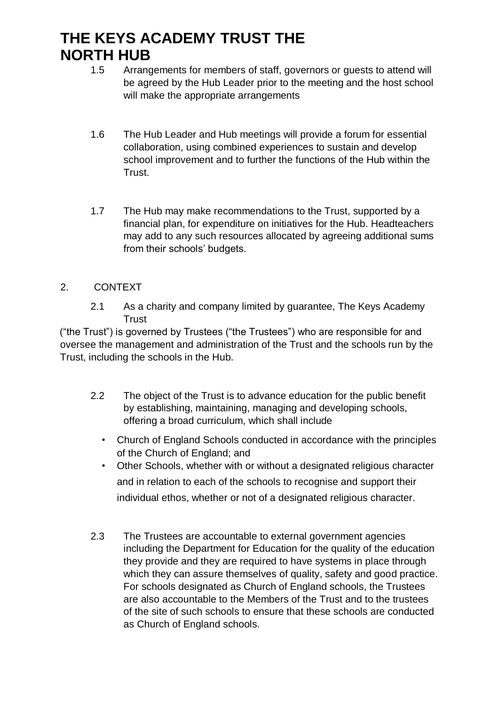- 1.5 Arrangements for members of staff, governors or guests to attend will be agreed by the Hub Leader prior to the meeting and the host school will make the appropriate arrangements
- 1.6 The Hub Leader and Hub meetings will provide a forum for essential collaboration, using combined experiences to sustain and develop school improvement and to further the functions of the Hub within the Trust.
- 1.7 The Hub may make recommendations to the Trust, supported by a financial plan, for expenditure on initiatives for the Hub. Headteachers may add to any such resources allocated by agreeing additional sums from their schools' budgets.

### 2. CONTEXT

2.1 As a charity and company limited by guarantee, The Keys Academy **Trust** 

("the Trust") is governed by Trustees ("the Trustees") who are responsible for and oversee the management and administration of the Trust and the schools run by the Trust, including the schools in the Hub.

- 2.2 The object of the Trust is to advance education for the public benefit by establishing, maintaining, managing and developing schools, offering a broad curriculum, which shall include
	- Church of England Schools conducted in accordance with the principles of the Church of England; and
	- Other Schools, whether with or without a designated religious character and in relation to each of the schools to recognise and support their individual ethos, whether or not of a designated religious character.
- 2.3 The Trustees are accountable to external government agencies including the Department for Education for the quality of the education they provide and they are required to have systems in place through which they can assure themselves of quality, safety and good practice. For schools designated as Church of England schools, the Trustees are also accountable to the Members of the Trust and to the trustees of the site of such schools to ensure that these schools are conducted as Church of England schools.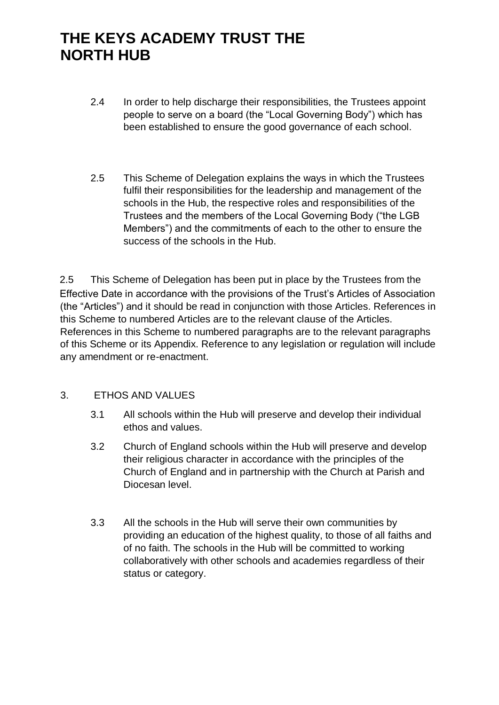- 2.4 In order to help discharge their responsibilities, the Trustees appoint people to serve on a board (the "Local Governing Body") which has been established to ensure the good governance of each school.
- 2.5 This Scheme of Delegation explains the ways in which the Trustees fulfil their responsibilities for the leadership and management of the schools in the Hub, the respective roles and responsibilities of the Trustees and the members of the Local Governing Body ("the LGB Members") and the commitments of each to the other to ensure the success of the schools in the Hub.

2.5 This Scheme of Delegation has been put in place by the Trustees from the Effective Date in accordance with the provisions of the Trust's Articles of Association (the "Articles") and it should be read in conjunction with those Articles. References in this Scheme to numbered Articles are to the relevant clause of the Articles. References in this Scheme to numbered paragraphs are to the relevant paragraphs of this Scheme or its Appendix. Reference to any legislation or regulation will include any amendment or re-enactment.

#### 3. ETHOS AND VALUES

- 3.1 All schools within the Hub will preserve and develop their individual ethos and values.
- 3.2 Church of England schools within the Hub will preserve and develop their religious character in accordance with the principles of the Church of England and in partnership with the Church at Parish and Diocesan level.
- 3.3 All the schools in the Hub will serve their own communities by providing an education of the highest quality, to those of all faiths and of no faith. The schools in the Hub will be committed to working collaboratively with other schools and academies regardless of their status or category.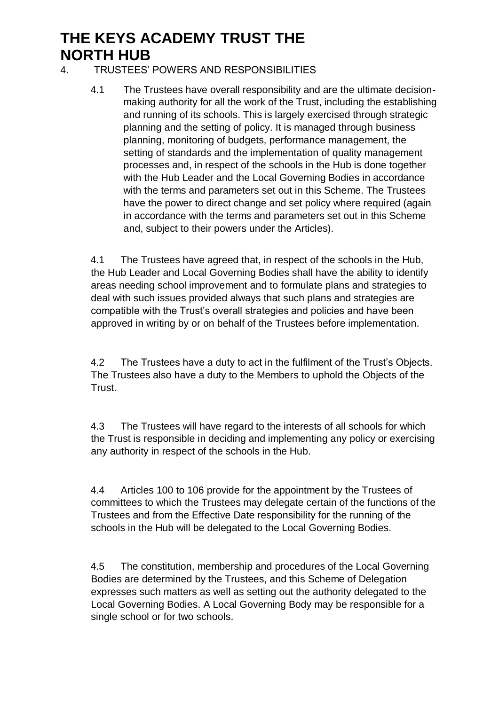- 4. TRUSTEES' POWERS AND RESPONSIBILITIES
	- 4.1 The Trustees have overall responsibility and are the ultimate decisionmaking authority for all the work of the Trust, including the establishing and running of its schools. This is largely exercised through strategic planning and the setting of policy. It is managed through business planning, monitoring of budgets, performance management, the setting of standards and the implementation of quality management processes and, in respect of the schools in the Hub is done together with the Hub Leader and the Local Governing Bodies in accordance with the terms and parameters set out in this Scheme. The Trustees have the power to direct change and set policy where required (again in accordance with the terms and parameters set out in this Scheme and, subject to their powers under the Articles).

4.1 The Trustees have agreed that, in respect of the schools in the Hub, the Hub Leader and Local Governing Bodies shall have the ability to identify areas needing school improvement and to formulate plans and strategies to deal with such issues provided always that such plans and strategies are compatible with the Trust's overall strategies and policies and have been approved in writing by or on behalf of the Trustees before implementation.

4.2 The Trustees have a duty to act in the fulfilment of the Trust's Objects. The Trustees also have a duty to the Members to uphold the Objects of the Trust.

4.3 The Trustees will have regard to the interests of all schools for which the Trust is responsible in deciding and implementing any policy or exercising any authority in respect of the schools in the Hub.

4.4 Articles 100 to 106 provide for the appointment by the Trustees of committees to which the Trustees may delegate certain of the functions of the Trustees and from the Effective Date responsibility for the running of the schools in the Hub will be delegated to the Local Governing Bodies.

4.5 The constitution, membership and procedures of the Local Governing Bodies are determined by the Trustees, and this Scheme of Delegation expresses such matters as well as setting out the authority delegated to the Local Governing Bodies. A Local Governing Body may be responsible for a single school or for two schools.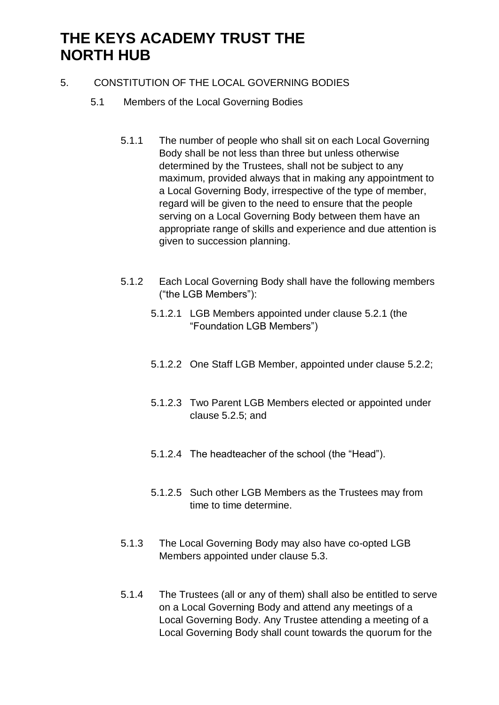### 5. CONSTITUTION OF THE LOCAL GOVERNING BODIES

- 5.1 Members of the Local Governing Bodies
	- 5.1.1 The number of people who shall sit on each Local Governing Body shall be not less than three but unless otherwise determined by the Trustees, shall not be subject to any maximum, provided always that in making any appointment to a Local Governing Body, irrespective of the type of member, regard will be given to the need to ensure that the people serving on a Local Governing Body between them have an appropriate range of skills and experience and due attention is given to succession planning.
	- 5.1.2 Each Local Governing Body shall have the following members ("the LGB Members"):
		- 5.1.2.1 LGB Members appointed under clause 5.2.1 (the "Foundation LGB Members")
		- 5.1.2.2 One Staff LGB Member, appointed under clause 5.2.2;
		- 5.1.2.3 Two Parent LGB Members elected or appointed under clause 5.2.5; and
		- 5.1.2.4 The headteacher of the school (the "Head").
		- 5.1.2.5 Such other LGB Members as the Trustees may from time to time determine.
	- 5.1.3 The Local Governing Body may also have co-opted LGB Members appointed under clause 5.3.
	- 5.1.4 The Trustees (all or any of them) shall also be entitled to serve on a Local Governing Body and attend any meetings of a Local Governing Body. Any Trustee attending a meeting of a Local Governing Body shall count towards the quorum for the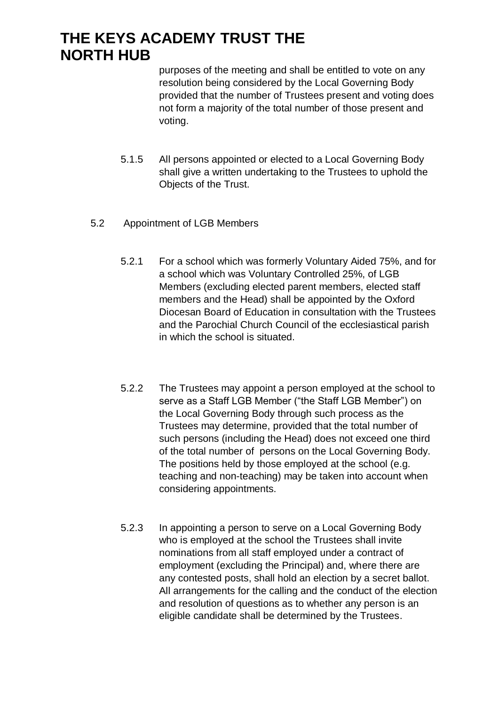purposes of the meeting and shall be entitled to vote on any resolution being considered by the Local Governing Body provided that the number of Trustees present and voting does not form a majority of the total number of those present and voting.

- 5.1.5 All persons appointed or elected to a Local Governing Body shall give a written undertaking to the Trustees to uphold the Objects of the Trust.
- 5.2 Appointment of LGB Members
	- 5.2.1 For a school which was formerly Voluntary Aided 75%, and for a school which was Voluntary Controlled 25%, of LGB Members (excluding elected parent members, elected staff members and the Head) shall be appointed by the Oxford Diocesan Board of Education in consultation with the Trustees and the Parochial Church Council of the ecclesiastical parish in which the school is situated.
	- 5.2.2 The Trustees may appoint a person employed at the school to serve as a Staff LGB Member ("the Staff LGB Member") on the Local Governing Body through such process as the Trustees may determine, provided that the total number of such persons (including the Head) does not exceed one third of the total number of persons on the Local Governing Body. The positions held by those employed at the school (e.g. teaching and non-teaching) may be taken into account when considering appointments.
	- 5.2.3 In appointing a person to serve on a Local Governing Body who is employed at the school the Trustees shall invite nominations from all staff employed under a contract of employment (excluding the Principal) and, where there are any contested posts, shall hold an election by a secret ballot. All arrangements for the calling and the conduct of the election and resolution of questions as to whether any person is an eligible candidate shall be determined by the Trustees.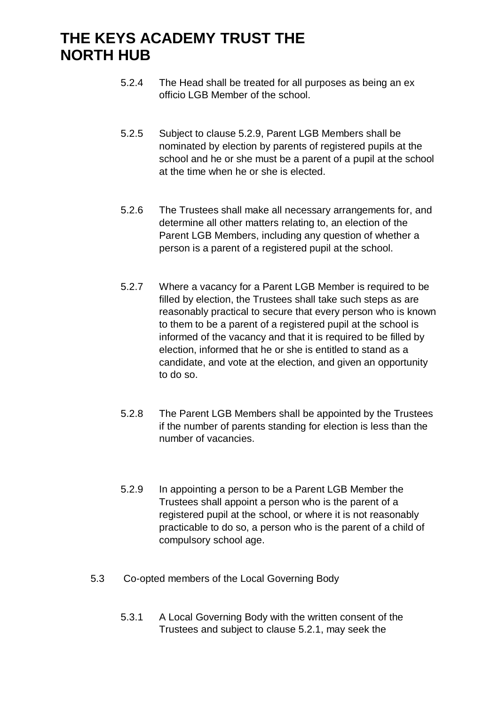- 5.2.4 The Head shall be treated for all purposes as being an ex officio LGB Member of the school.
- 5.2.5 Subject to clause 5.2.9, Parent LGB Members shall be nominated by election by parents of registered pupils at the school and he or she must be a parent of a pupil at the school at the time when he or she is elected.
- 5.2.6 The Trustees shall make all necessary arrangements for, and determine all other matters relating to, an election of the Parent LGB Members, including any question of whether a person is a parent of a registered pupil at the school.
- 5.2.7 Where a vacancy for a Parent LGB Member is required to be filled by election, the Trustees shall take such steps as are reasonably practical to secure that every person who is known to them to be a parent of a registered pupil at the school is informed of the vacancy and that it is required to be filled by election, informed that he or she is entitled to stand as a candidate, and vote at the election, and given an opportunity to do so.
- 5.2.8 The Parent LGB Members shall be appointed by the Trustees if the number of parents standing for election is less than the number of vacancies.
- 5.2.9 In appointing a person to be a Parent LGB Member the Trustees shall appoint a person who is the parent of a registered pupil at the school, or where it is not reasonably practicable to do so, a person who is the parent of a child of compulsory school age.
- 5.3 Co-opted members of the Local Governing Body
	- 5.3.1 A Local Governing Body with the written consent of the Trustees and subject to clause 5.2.1, may seek the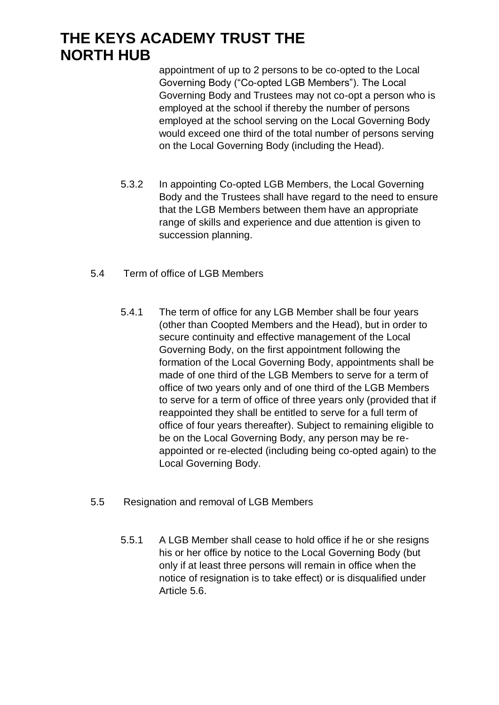appointment of up to 2 persons to be co-opted to the Local Governing Body ("Co-opted LGB Members"). The Local Governing Body and Trustees may not co-opt a person who is employed at the school if thereby the number of persons employed at the school serving on the Local Governing Body would exceed one third of the total number of persons serving on the Local Governing Body (including the Head).

- 5.3.2 In appointing Co-opted LGB Members, the Local Governing Body and the Trustees shall have regard to the need to ensure that the LGB Members between them have an appropriate range of skills and experience and due attention is given to succession planning.
- 5.4 Term of office of LGB Members
	- 5.4.1 The term of office for any LGB Member shall be four years (other than Coopted Members and the Head), but in order to secure continuity and effective management of the Local Governing Body, on the first appointment following the formation of the Local Governing Body, appointments shall be made of one third of the LGB Members to serve for a term of office of two years only and of one third of the LGB Members to serve for a term of office of three years only (provided that if reappointed they shall be entitled to serve for a full term of office of four years thereafter). Subject to remaining eligible to be on the Local Governing Body, any person may be reappointed or re-elected (including being co-opted again) to the Local Governing Body.
- 5.5 Resignation and removal of LGB Members
	- 5.5.1 A LGB Member shall cease to hold office if he or she resigns his or her office by notice to the Local Governing Body (but only if at least three persons will remain in office when the notice of resignation is to take effect) or is disqualified under Article 5.6.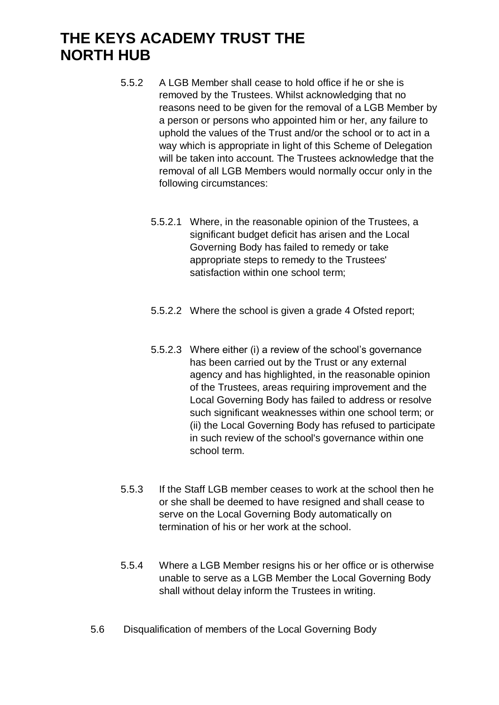- 5.5.2 A LGB Member shall cease to hold office if he or she is removed by the Trustees. Whilst acknowledging that no reasons need to be given for the removal of a LGB Member by a person or persons who appointed him or her, any failure to uphold the values of the Trust and/or the school or to act in a way which is appropriate in light of this Scheme of Delegation will be taken into account. The Trustees acknowledge that the removal of all LGB Members would normally occur only in the following circumstances:
	- 5.5.2.1 Where, in the reasonable opinion of the Trustees, a significant budget deficit has arisen and the Local Governing Body has failed to remedy or take appropriate steps to remedy to the Trustees' satisfaction within one school term;
	- 5.5.2.2 Where the school is given a grade 4 Ofsted report;
	- 5.5.2.3 Where either (i) a review of the school's governance has been carried out by the Trust or any external agency and has highlighted, in the reasonable opinion of the Trustees, areas requiring improvement and the Local Governing Body has failed to address or resolve such significant weaknesses within one school term; or (ii) the Local Governing Body has refused to participate in such review of the school's governance within one school term.
- 5.5.3 If the Staff LGB member ceases to work at the school then he or she shall be deemed to have resigned and shall cease to serve on the Local Governing Body automatically on termination of his or her work at the school.
- 5.5.4 Where a LGB Member resigns his or her office or is otherwise unable to serve as a LGB Member the Local Governing Body shall without delay inform the Trustees in writing.
- 5.6 Disqualification of members of the Local Governing Body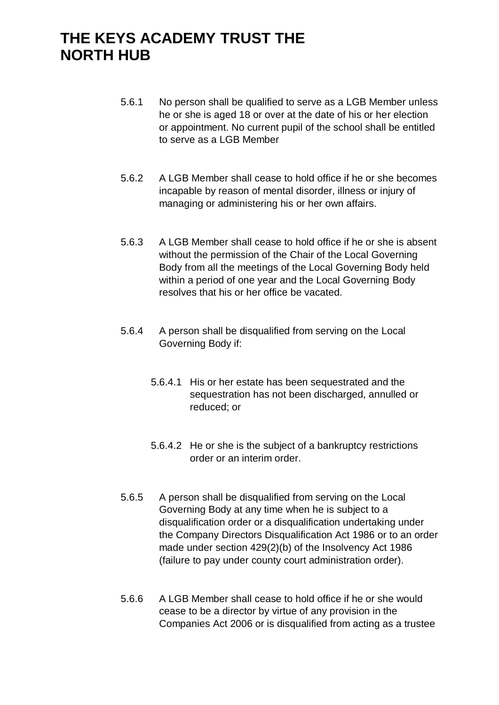- 5.6.1 No person shall be qualified to serve as a LGB Member unless he or she is aged 18 or over at the date of his or her election or appointment. No current pupil of the school shall be entitled to serve as a LGB Member
- 5.6.2 A LGB Member shall cease to hold office if he or she becomes incapable by reason of mental disorder, illness or injury of managing or administering his or her own affairs.
- 5.6.3 A LGB Member shall cease to hold office if he or she is absent without the permission of the Chair of the Local Governing Body from all the meetings of the Local Governing Body held within a period of one year and the Local Governing Body resolves that his or her office be vacated.
- 5.6.4 A person shall be disqualified from serving on the Local Governing Body if:
	- 5.6.4.1 His or her estate has been sequestrated and the sequestration has not been discharged, annulled or reduced; or
	- 5.6.4.2 He or she is the subject of a bankruptcy restrictions order or an interim order.
- 5.6.5 A person shall be disqualified from serving on the Local Governing Body at any time when he is subject to a disqualification order or a disqualification undertaking under the Company Directors Disqualification Act 1986 or to an order made under section 429(2)(b) of the Insolvency Act 1986 (failure to pay under county court administration order).
- 5.6.6 A LGB Member shall cease to hold office if he or she would cease to be a director by virtue of any provision in the Companies Act 2006 or is disqualified from acting as a trustee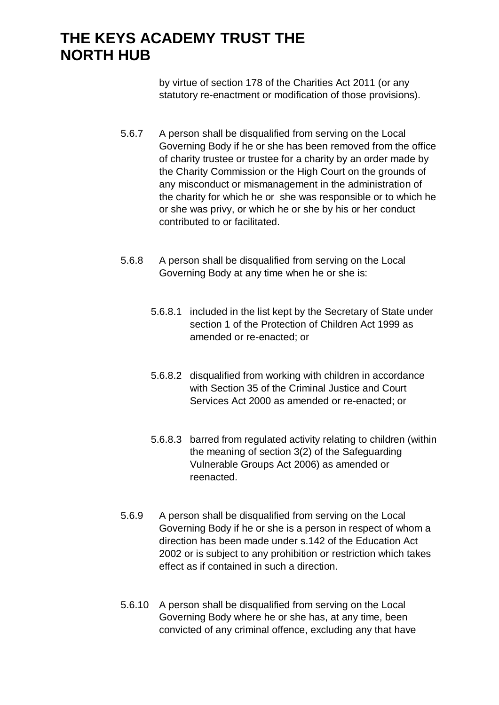by virtue of section 178 of the Charities Act 2011 (or any statutory re-enactment or modification of those provisions).

- 5.6.7 A person shall be disqualified from serving on the Local Governing Body if he or she has been removed from the office of charity trustee or trustee for a charity by an order made by the Charity Commission or the High Court on the grounds of any misconduct or mismanagement in the administration of the charity for which he or she was responsible or to which he or she was privy, or which he or she by his or her conduct contributed to or facilitated.
- 5.6.8 A person shall be disqualified from serving on the Local Governing Body at any time when he or she is:
	- 5.6.8.1 included in the list kept by the Secretary of State under section 1 of the Protection of Children Act 1999 as amended or re-enacted; or
	- 5.6.8.2 disqualified from working with children in accordance with Section 35 of the Criminal Justice and Court Services Act 2000 as amended or re-enacted; or
	- 5.6.8.3 barred from regulated activity relating to children (within the meaning of section 3(2) of the Safeguarding Vulnerable Groups Act 2006) as amended or reenacted.
- 5.6.9 A person shall be disqualified from serving on the Local Governing Body if he or she is a person in respect of whom a direction has been made under s.142 of the Education Act 2002 or is subject to any prohibition or restriction which takes effect as if contained in such a direction.
- 5.6.10 A person shall be disqualified from serving on the Local Governing Body where he or she has, at any time, been convicted of any criminal offence, excluding any that have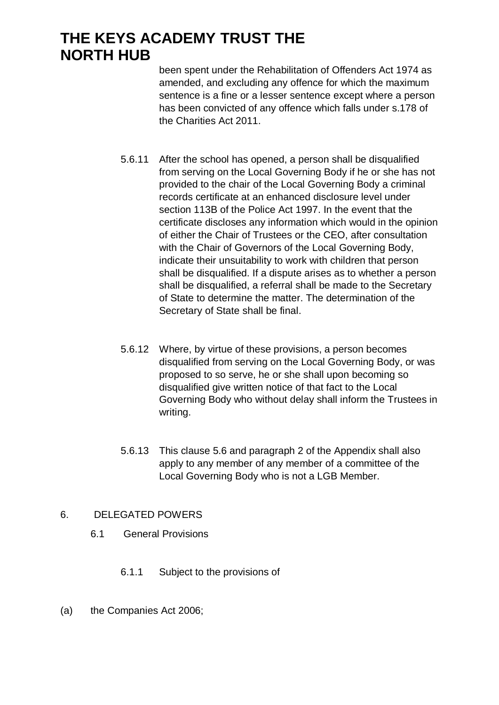been spent under the Rehabilitation of Offenders Act 1974 as amended, and excluding any offence for which the maximum sentence is a fine or a lesser sentence except where a person has been convicted of any offence which falls under s.178 of the Charities Act 2011.

- 5.6.11 After the school has opened, a person shall be disqualified from serving on the Local Governing Body if he or she has not provided to the chair of the Local Governing Body a criminal records certificate at an enhanced disclosure level under section 113B of the Police Act 1997. In the event that the certificate discloses any information which would in the opinion of either the Chair of Trustees or the CEO, after consultation with the Chair of Governors of the Local Governing Body, indicate their unsuitability to work with children that person shall be disqualified. If a dispute arises as to whether a person shall be disqualified, a referral shall be made to the Secretary of State to determine the matter. The determination of the Secretary of State shall be final.
- 5.6.12 Where, by virtue of these provisions, a person becomes disqualified from serving on the Local Governing Body, or was proposed to so serve, he or she shall upon becoming so disqualified give written notice of that fact to the Local Governing Body who without delay shall inform the Trustees in writing.
- 5.6.13 This clause 5.6 and paragraph 2 of the Appendix shall also apply to any member of any member of a committee of the Local Governing Body who is not a LGB Member.

#### 6. DELEGATED POWERS

- 6.1 General Provisions
	- 6.1.1 Subject to the provisions of
- (a) the Companies Act 2006;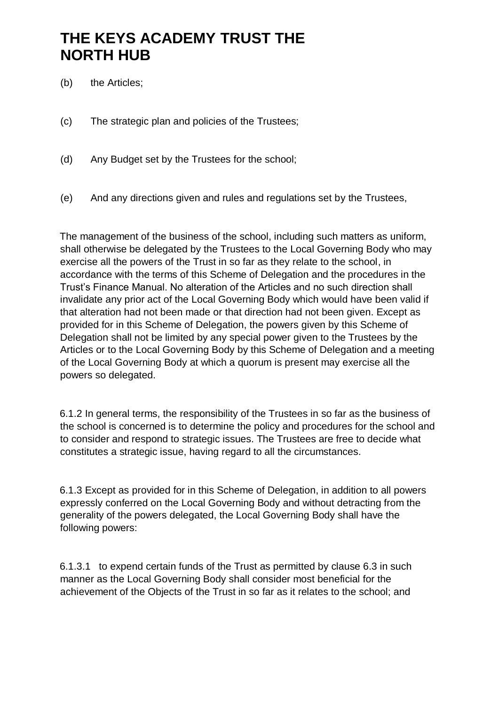- (b) the Articles;
- (c) The strategic plan and policies of the Trustees;
- (d) Any Budget set by the Trustees for the school;
- (e) And any directions given and rules and regulations set by the Trustees,

The management of the business of the school, including such matters as uniform, shall otherwise be delegated by the Trustees to the Local Governing Body who may exercise all the powers of the Trust in so far as they relate to the school, in accordance with the terms of this Scheme of Delegation and the procedures in the Trust's Finance Manual. No alteration of the Articles and no such direction shall invalidate any prior act of the Local Governing Body which would have been valid if that alteration had not been made or that direction had not been given. Except as provided for in this Scheme of Delegation, the powers given by this Scheme of Delegation shall not be limited by any special power given to the Trustees by the Articles or to the Local Governing Body by this Scheme of Delegation and a meeting of the Local Governing Body at which a quorum is present may exercise all the powers so delegated.

6.1.2 In general terms, the responsibility of the Trustees in so far as the business of the school is concerned is to determine the policy and procedures for the school and to consider and respond to strategic issues. The Trustees are free to decide what constitutes a strategic issue, having regard to all the circumstances.

6.1.3 Except as provided for in this Scheme of Delegation, in addition to all powers expressly conferred on the Local Governing Body and without detracting from the generality of the powers delegated, the Local Governing Body shall have the following powers:

6.1.3.1 to expend certain funds of the Trust as permitted by clause 6.3 in such manner as the Local Governing Body shall consider most beneficial for the achievement of the Objects of the Trust in so far as it relates to the school; and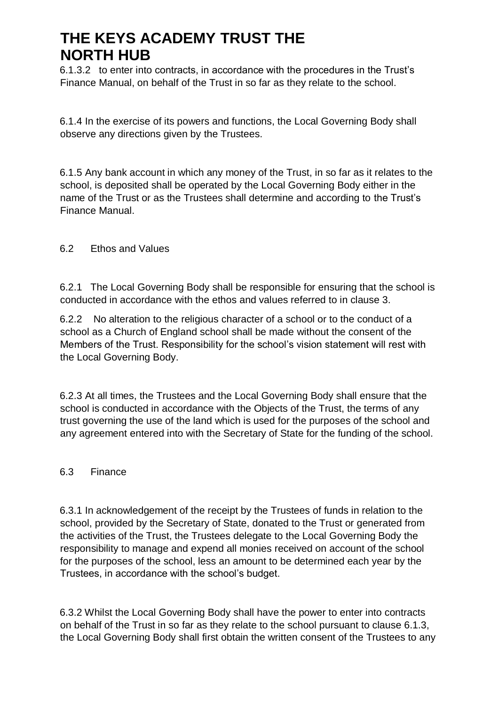6.1.3.2 to enter into contracts, in accordance with the procedures in the Trust's Finance Manual, on behalf of the Trust in so far as they relate to the school.

6.1.4 In the exercise of its powers and functions, the Local Governing Body shall observe any directions given by the Trustees.

6.1.5 Any bank account in which any money of the Trust, in so far as it relates to the school, is deposited shall be operated by the Local Governing Body either in the name of the Trust or as the Trustees shall determine and according to the Trust's Finance Manual.

### 6.2 Ethos and Values

6.2.1 The Local Governing Body shall be responsible for ensuring that the school is conducted in accordance with the ethos and values referred to in clause 3.

6.2.2 No alteration to the religious character of a school or to the conduct of a school as a Church of England school shall be made without the consent of the Members of the Trust. Responsibility for the school's vision statement will rest with the Local Governing Body.

6.2.3 At all times, the Trustees and the Local Governing Body shall ensure that the school is conducted in accordance with the Objects of the Trust, the terms of any trust governing the use of the land which is used for the purposes of the school and any agreement entered into with the Secretary of State for the funding of the school.

#### 6.3 Finance

6.3.1 In acknowledgement of the receipt by the Trustees of funds in relation to the school, provided by the Secretary of State, donated to the Trust or generated from the activities of the Trust, the Trustees delegate to the Local Governing Body the responsibility to manage and expend all monies received on account of the school for the purposes of the school, less an amount to be determined each year by the Trustees, in accordance with the school's budget.

6.3.2 Whilst the Local Governing Body shall have the power to enter into contracts on behalf of the Trust in so far as they relate to the school pursuant to clause 6.1.3, the Local Governing Body shall first obtain the written consent of the Trustees to any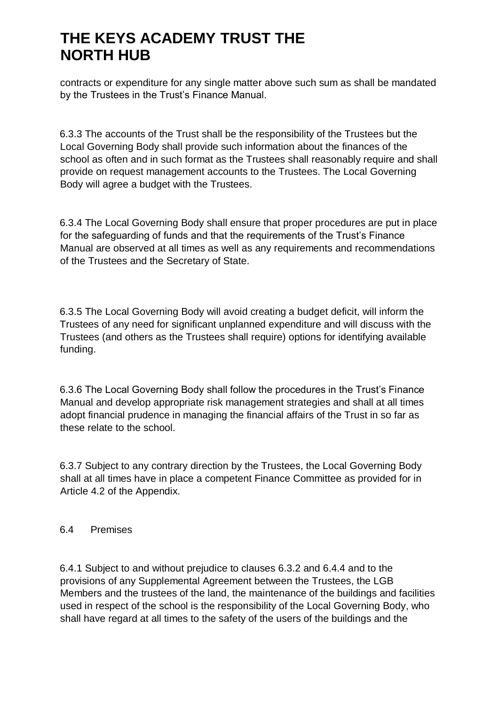contracts or expenditure for any single matter above such sum as shall be mandated by the Trustees in the Trust's Finance Manual.

6.3.3 The accounts of the Trust shall be the responsibility of the Trustees but the Local Governing Body shall provide such information about the finances of the school as often and in such format as the Trustees shall reasonably require and shall provide on request management accounts to the Trustees. The Local Governing Body will agree a budget with the Trustees.

6.3.4 The Local Governing Body shall ensure that proper procedures are put in place for the safeguarding of funds and that the requirements of the Trust's Finance Manual are observed at all times as well as any requirements and recommendations of the Trustees and the Secretary of State.

6.3.5 The Local Governing Body will avoid creating a budget deficit, will inform the Trustees of any need for significant unplanned expenditure and will discuss with the Trustees (and others as the Trustees shall require) options for identifying available funding.

6.3.6 The Local Governing Body shall follow the procedures in the Trust's Finance Manual and develop appropriate risk management strategies and shall at all times adopt financial prudence in managing the financial affairs of the Trust in so far as these relate to the school.

6.3.7 Subject to any contrary direction by the Trustees, the Local Governing Body shall at all times have in place a competent Finance Committee as provided for in Article 4.2 of the Appendix.

#### 6.4 Premises

6.4.1 Subject to and without prejudice to clauses 6.3.2 and 6.4.4 and to the provisions of any Supplemental Agreement between the Trustees, the LGB Members and the trustees of the land, the maintenance of the buildings and facilities used in respect of the school is the responsibility of the Local Governing Body, who shall have regard at all times to the safety of the users of the buildings and the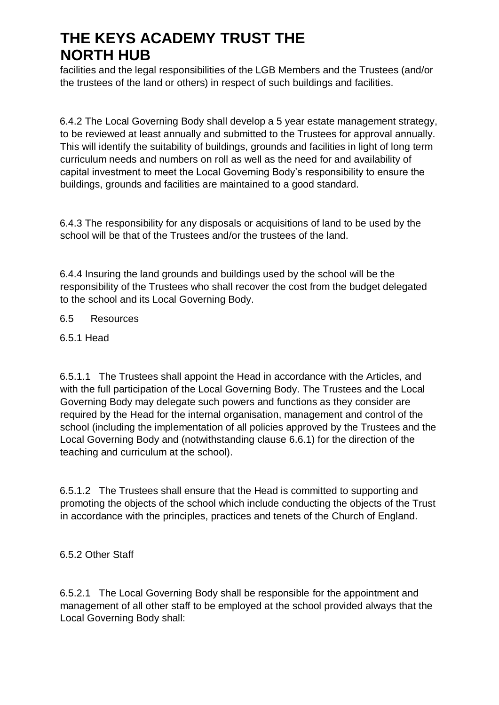facilities and the legal responsibilities of the LGB Members and the Trustees (and/or the trustees of the land or others) in respect of such buildings and facilities.

6.4.2 The Local Governing Body shall develop a 5 year estate management strategy, to be reviewed at least annually and submitted to the Trustees for approval annually. This will identify the suitability of buildings, grounds and facilities in light of long term curriculum needs and numbers on roll as well as the need for and availability of capital investment to meet the Local Governing Body's responsibility to ensure the buildings, grounds and facilities are maintained to a good standard.

6.4.3 The responsibility for any disposals or acquisitions of land to be used by the school will be that of the Trustees and/or the trustees of the land.

6.4.4 Insuring the land grounds and buildings used by the school will be the responsibility of the Trustees who shall recover the cost from the budget delegated to the school and its Local Governing Body.

### 6.5 Resources

### 6.5.1 Head

6.5.1.1 The Trustees shall appoint the Head in accordance with the Articles, and with the full participation of the Local Governing Body. The Trustees and the Local Governing Body may delegate such powers and functions as they consider are required by the Head for the internal organisation, management and control of the school (including the implementation of all policies approved by the Trustees and the Local Governing Body and (notwithstanding clause 6.6.1) for the direction of the teaching and curriculum at the school).

6.5.1.2 The Trustees shall ensure that the Head is committed to supporting and promoting the objects of the school which include conducting the objects of the Trust in accordance with the principles, practices and tenets of the Church of England.

#### 6.5.2 Other Staff

6.5.2.1 The Local Governing Body shall be responsible for the appointment and management of all other staff to be employed at the school provided always that the Local Governing Body shall: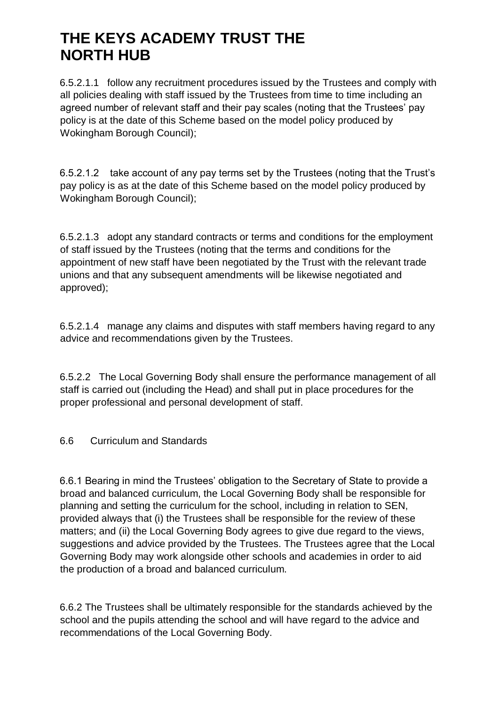6.5.2.1.1 follow any recruitment procedures issued by the Trustees and comply with all policies dealing with staff issued by the Trustees from time to time including an agreed number of relevant staff and their pay scales (noting that the Trustees' pay policy is at the date of this Scheme based on the model policy produced by Wokingham Borough Council);

6.5.2.1.2 take account of any pay terms set by the Trustees (noting that the Trust's pay policy is as at the date of this Scheme based on the model policy produced by Wokingham Borough Council);

6.5.2.1.3 adopt any standard contracts or terms and conditions for the employment of staff issued by the Trustees (noting that the terms and conditions for the appointment of new staff have been negotiated by the Trust with the relevant trade unions and that any subsequent amendments will be likewise negotiated and approved);

6.5.2.1.4 manage any claims and disputes with staff members having regard to any advice and recommendations given by the Trustees.

6.5.2.2 The Local Governing Body shall ensure the performance management of all staff is carried out (including the Head) and shall put in place procedures for the proper professional and personal development of staff.

#### 6.6 Curriculum and Standards

6.6.1 Bearing in mind the Trustees' obligation to the Secretary of State to provide a broad and balanced curriculum, the Local Governing Body shall be responsible for planning and setting the curriculum for the school, including in relation to SEN, provided always that (i) the Trustees shall be responsible for the review of these matters; and (ii) the Local Governing Body agrees to give due regard to the views, suggestions and advice provided by the Trustees. The Trustees agree that the Local Governing Body may work alongside other schools and academies in order to aid the production of a broad and balanced curriculum.

6.6.2 The Trustees shall be ultimately responsible for the standards achieved by the school and the pupils attending the school and will have regard to the advice and recommendations of the Local Governing Body.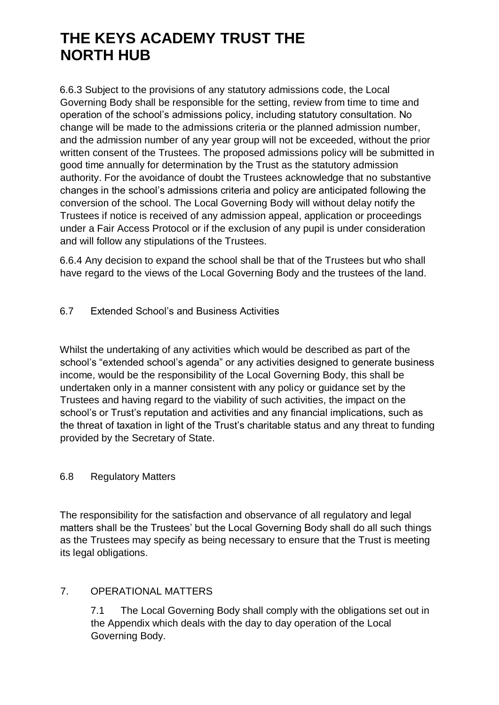6.6.3 Subject to the provisions of any statutory admissions code, the Local Governing Body shall be responsible for the setting, review from time to time and operation of the school's admissions policy, including statutory consultation. No change will be made to the admissions criteria or the planned admission number, and the admission number of any year group will not be exceeded, without the prior written consent of the Trustees. The proposed admissions policy will be submitted in good time annually for determination by the Trust as the statutory admission authority. For the avoidance of doubt the Trustees acknowledge that no substantive changes in the school's admissions criteria and policy are anticipated following the conversion of the school. The Local Governing Body will without delay notify the Trustees if notice is received of any admission appeal, application or proceedings under a Fair Access Protocol or if the exclusion of any pupil is under consideration and will follow any stipulations of the Trustees.

6.6.4 Any decision to expand the school shall be that of the Trustees but who shall have regard to the views of the Local Governing Body and the trustees of the land.

### 6.7 Extended School's and Business Activities

Whilst the undertaking of any activities which would be described as part of the school's "extended school's agenda" or any activities designed to generate business income, would be the responsibility of the Local Governing Body, this shall be undertaken only in a manner consistent with any policy or guidance set by the Trustees and having regard to the viability of such activities, the impact on the school's or Trust's reputation and activities and any financial implications, such as the threat of taxation in light of the Trust's charitable status and any threat to funding provided by the Secretary of State.

#### 6.8 Regulatory Matters

The responsibility for the satisfaction and observance of all regulatory and legal matters shall be the Trustees' but the Local Governing Body shall do all such things as the Trustees may specify as being necessary to ensure that the Trust is meeting its legal obligations.

#### 7. OPERATIONAL MATTERS

7.1 The Local Governing Body shall comply with the obligations set out in the Appendix which deals with the day to day operation of the Local Governing Body.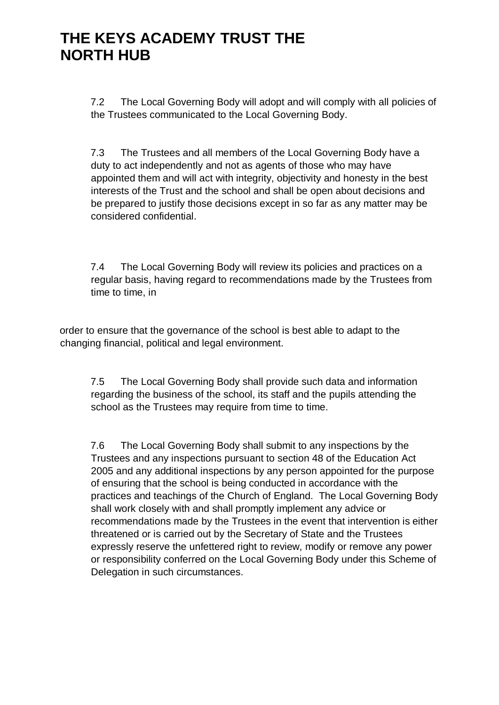7.2 The Local Governing Body will adopt and will comply with all policies of the Trustees communicated to the Local Governing Body.

7.3 The Trustees and all members of the Local Governing Body have a duty to act independently and not as agents of those who may have appointed them and will act with integrity, objectivity and honesty in the best interests of the Trust and the school and shall be open about decisions and be prepared to justify those decisions except in so far as any matter may be considered confidential.

7.4 The Local Governing Body will review its policies and practices on a regular basis, having regard to recommendations made by the Trustees from time to time, in

order to ensure that the governance of the school is best able to adapt to the changing financial, political and legal environment.

7.5 The Local Governing Body shall provide such data and information regarding the business of the school, its staff and the pupils attending the school as the Trustees may require from time to time.

7.6 The Local Governing Body shall submit to any inspections by the Trustees and any inspections pursuant to section 48 of the Education Act 2005 and any additional inspections by any person appointed for the purpose of ensuring that the school is being conducted in accordance with the practices and teachings of the Church of England. The Local Governing Body shall work closely with and shall promptly implement any advice or recommendations made by the Trustees in the event that intervention is either threatened or is carried out by the Secretary of State and the Trustees expressly reserve the unfettered right to review, modify or remove any power or responsibility conferred on the Local Governing Body under this Scheme of Delegation in such circumstances.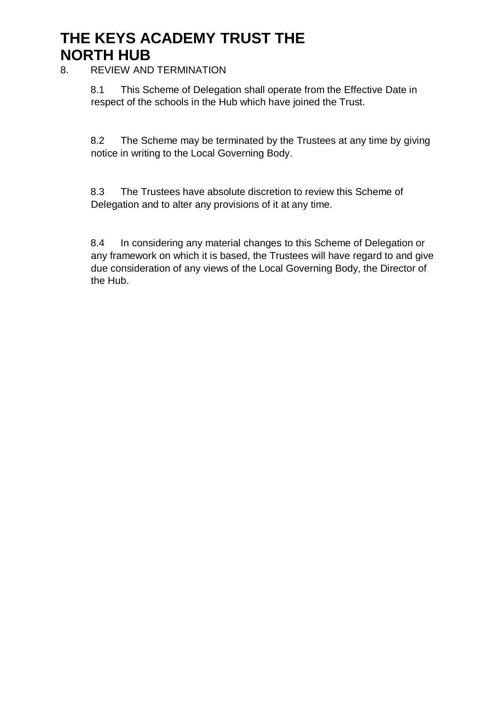### 8. REVIEW AND TERMINATION

8.1 This Scheme of Delegation shall operate from the Effective Date in respect of the schools in the Hub which have joined the Trust.

8.2 The Scheme may be terminated by the Trustees at any time by giving notice in writing to the Local Governing Body.

8.3 The Trustees have absolute discretion to review this Scheme of Delegation and to alter any provisions of it at any time.

8.4 In considering any material changes to this Scheme of Delegation or any framework on which it is based, the Trustees will have regard to and give due consideration of any views of the Local Governing Body, the Director of the Hub.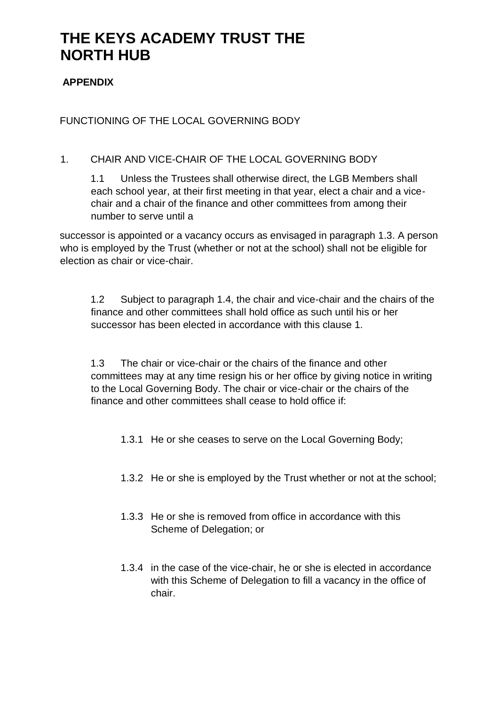### **APPENDIX**

FUNCTIONING OF THE LOCAL GOVERNING BODY

1. CHAIR AND VICE-CHAIR OF THE LOCAL GOVERNING BODY

1.1 Unless the Trustees shall otherwise direct, the LGB Members shall each school year, at their first meeting in that year, elect a chair and a vicechair and a chair of the finance and other committees from among their number to serve until a

successor is appointed or a vacancy occurs as envisaged in paragraph 1.3. A person who is employed by the Trust (whether or not at the school) shall not be eligible for election as chair or vice-chair.

1.2 Subject to paragraph 1.4, the chair and vice-chair and the chairs of the finance and other committees shall hold office as such until his or her successor has been elected in accordance with this clause 1.

1.3 The chair or vice-chair or the chairs of the finance and other committees may at any time resign his or her office by giving notice in writing to the Local Governing Body. The chair or vice-chair or the chairs of the finance and other committees shall cease to hold office if:

- 1.3.1 He or she ceases to serve on the Local Governing Body;
- 1.3.2 He or she is employed by the Trust whether or not at the school;
- 1.3.3 He or she is removed from office in accordance with this Scheme of Delegation; or
- 1.3.4 in the case of the vice-chair, he or she is elected in accordance with this Scheme of Delegation to fill a vacancy in the office of chair.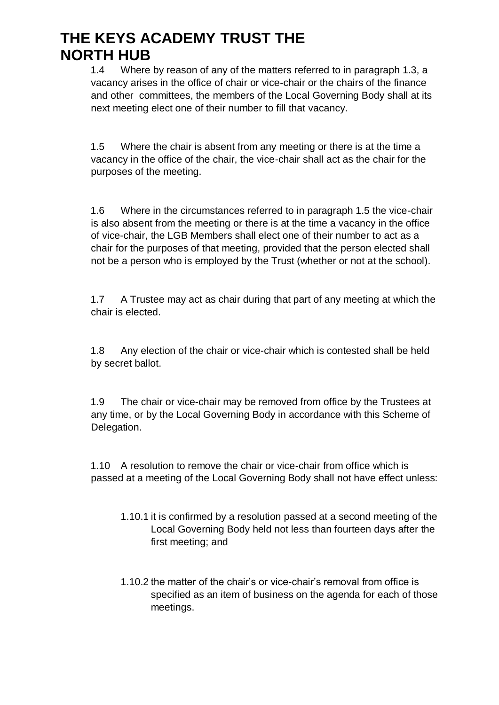1.4 Where by reason of any of the matters referred to in paragraph 1.3, a vacancy arises in the office of chair or vice-chair or the chairs of the finance and other committees, the members of the Local Governing Body shall at its next meeting elect one of their number to fill that vacancy.

1.5 Where the chair is absent from any meeting or there is at the time a vacancy in the office of the chair, the vice-chair shall act as the chair for the purposes of the meeting.

1.6 Where in the circumstances referred to in paragraph 1.5 the vice-chair is also absent from the meeting or there is at the time a vacancy in the office of vice-chair, the LGB Members shall elect one of their number to act as a chair for the purposes of that meeting, provided that the person elected shall not be a person who is employed by the Trust (whether or not at the school).

1.7 A Trustee may act as chair during that part of any meeting at which the chair is elected.

1.8 Any election of the chair or vice-chair which is contested shall be held by secret ballot.

1.9 The chair or vice-chair may be removed from office by the Trustees at any time, or by the Local Governing Body in accordance with this Scheme of Delegation.

1.10 A resolution to remove the chair or vice-chair from office which is passed at a meeting of the Local Governing Body shall not have effect unless:

- 1.10.1 it is confirmed by a resolution passed at a second meeting of the Local Governing Body held not less than fourteen days after the first meeting; and
- 1.10.2 the matter of the chair's or vice-chair's removal from office is specified as an item of business on the agenda for each of those meetings.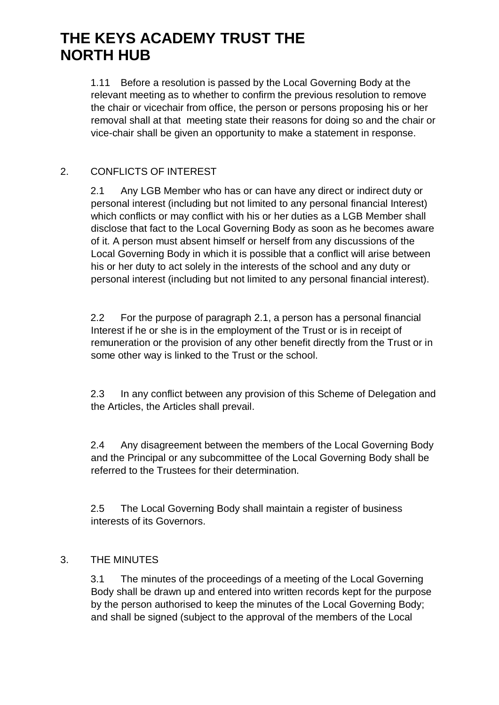1.11 Before a resolution is passed by the Local Governing Body at the relevant meeting as to whether to confirm the previous resolution to remove the chair or vicechair from office, the person or persons proposing his or her removal shall at that meeting state their reasons for doing so and the chair or vice-chair shall be given an opportunity to make a statement in response.

### 2. CONFLICTS OF INTEREST

2.1 Any LGB Member who has or can have any direct or indirect duty or personal interest (including but not limited to any personal financial Interest) which conflicts or may conflict with his or her duties as a LGB Member shall disclose that fact to the Local Governing Body as soon as he becomes aware of it. A person must absent himself or herself from any discussions of the Local Governing Body in which it is possible that a conflict will arise between his or her duty to act solely in the interests of the school and any duty or personal interest (including but not limited to any personal financial interest).

2.2 For the purpose of paragraph 2.1, a person has a personal financial Interest if he or she is in the employment of the Trust or is in receipt of remuneration or the provision of any other benefit directly from the Trust or in some other way is linked to the Trust or the school.

2.3 In any conflict between any provision of this Scheme of Delegation and the Articles, the Articles shall prevail.

2.4 Any disagreement between the members of the Local Governing Body and the Principal or any subcommittee of the Local Governing Body shall be referred to the Trustees for their determination.

2.5 The Local Governing Body shall maintain a register of business interests of its Governors.

#### 3. THE MINUTES

3.1 The minutes of the proceedings of a meeting of the Local Governing Body shall be drawn up and entered into written records kept for the purpose by the person authorised to keep the minutes of the Local Governing Body; and shall be signed (subject to the approval of the members of the Local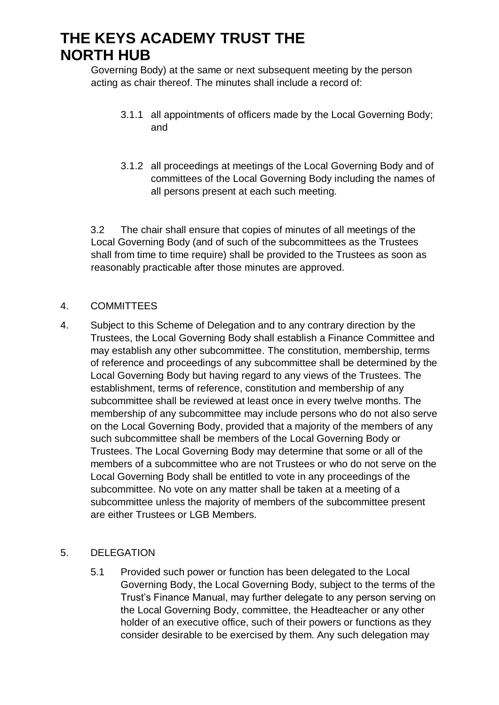Governing Body) at the same or next subsequent meeting by the person acting as chair thereof. The minutes shall include a record of:

- 3.1.1 all appointments of officers made by the Local Governing Body; and
- 3.1.2 all proceedings at meetings of the Local Governing Body and of committees of the Local Governing Body including the names of all persons present at each such meeting.

3.2 The chair shall ensure that copies of minutes of all meetings of the Local Governing Body (and of such of the subcommittees as the Trustees shall from time to time require) shall be provided to the Trustees as soon as reasonably practicable after those minutes are approved.

#### 4. COMMITTEES

4. Subject to this Scheme of Delegation and to any contrary direction by the Trustees, the Local Governing Body shall establish a Finance Committee and may establish any other subcommittee. The constitution, membership, terms of reference and proceedings of any subcommittee shall be determined by the Local Governing Body but having regard to any views of the Trustees. The establishment, terms of reference, constitution and membership of any subcommittee shall be reviewed at least once in every twelve months. The membership of any subcommittee may include persons who do not also serve on the Local Governing Body, provided that a majority of the members of any such subcommittee shall be members of the Local Governing Body or Trustees. The Local Governing Body may determine that some or all of the members of a subcommittee who are not Trustees or who do not serve on the Local Governing Body shall be entitled to vote in any proceedings of the subcommittee. No vote on any matter shall be taken at a meeting of a subcommittee unless the majority of members of the subcommittee present are either Trustees or LGB Members.

#### 5. DELEGATION

5.1 Provided such power or function has been delegated to the Local Governing Body, the Local Governing Body, subject to the terms of the Trust's Finance Manual, may further delegate to any person serving on the Local Governing Body, committee, the Headteacher or any other holder of an executive office, such of their powers or functions as they consider desirable to be exercised by them. Any such delegation may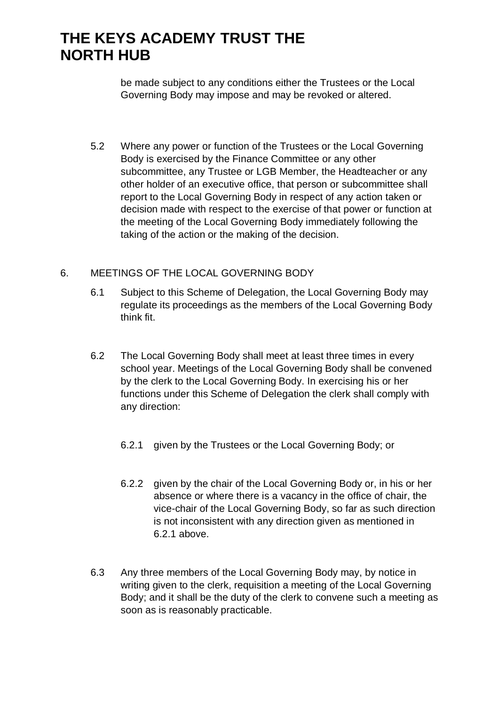be made subject to any conditions either the Trustees or the Local Governing Body may impose and may be revoked or altered.

5.2 Where any power or function of the Trustees or the Local Governing Body is exercised by the Finance Committee or any other subcommittee, any Trustee or LGB Member, the Headteacher or any other holder of an executive office, that person or subcommittee shall report to the Local Governing Body in respect of any action taken or decision made with respect to the exercise of that power or function at the meeting of the Local Governing Body immediately following the taking of the action or the making of the decision.

### 6. MEETINGS OF THE LOCAL GOVERNING BODY

- 6.1 Subject to this Scheme of Delegation, the Local Governing Body may regulate its proceedings as the members of the Local Governing Body think fit.
- 6.2 The Local Governing Body shall meet at least three times in every school year. Meetings of the Local Governing Body shall be convened by the clerk to the Local Governing Body. In exercising his or her functions under this Scheme of Delegation the clerk shall comply with any direction:
	- 6.2.1 given by the Trustees or the Local Governing Body; or
	- 6.2.2 given by the chair of the Local Governing Body or, in his or her absence or where there is a vacancy in the office of chair, the vice-chair of the Local Governing Body, so far as such direction is not inconsistent with any direction given as mentioned in 6.2.1 above.
- 6.3 Any three members of the Local Governing Body may, by notice in writing given to the clerk, requisition a meeting of the Local Governing Body; and it shall be the duty of the clerk to convene such a meeting as soon as is reasonably practicable.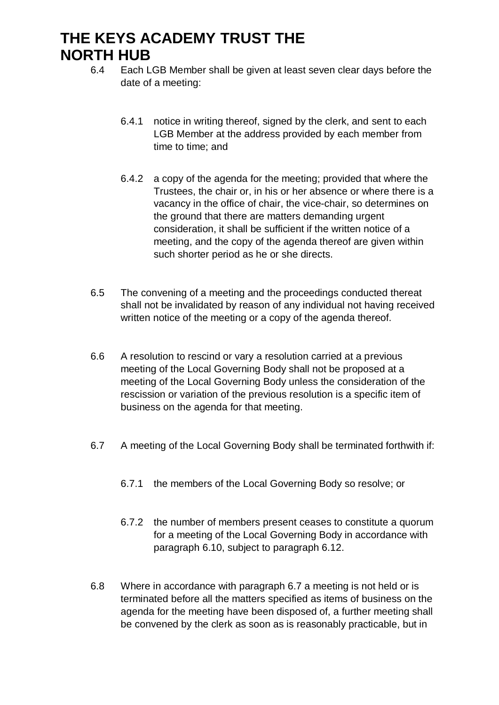- 6.4 Each LGB Member shall be given at least seven clear days before the date of a meeting:
	- 6.4.1 notice in writing thereof, signed by the clerk, and sent to each LGB Member at the address provided by each member from time to time; and
	- 6.4.2 a copy of the agenda for the meeting; provided that where the Trustees, the chair or, in his or her absence or where there is a vacancy in the office of chair, the vice-chair, so determines on the ground that there are matters demanding urgent consideration, it shall be sufficient if the written notice of a meeting, and the copy of the agenda thereof are given within such shorter period as he or she directs.
- 6.5 The convening of a meeting and the proceedings conducted thereat shall not be invalidated by reason of any individual not having received written notice of the meeting or a copy of the agenda thereof.
- 6.6 A resolution to rescind or vary a resolution carried at a previous meeting of the Local Governing Body shall not be proposed at a meeting of the Local Governing Body unless the consideration of the rescission or variation of the previous resolution is a specific item of business on the agenda for that meeting.
- 6.7 A meeting of the Local Governing Body shall be terminated forthwith if:
	- 6.7.1 the members of the Local Governing Body so resolve; or
	- 6.7.2 the number of members present ceases to constitute a quorum for a meeting of the Local Governing Body in accordance with paragraph 6.10, subject to paragraph 6.12.
- 6.8 Where in accordance with paragraph 6.7 a meeting is not held or is terminated before all the matters specified as items of business on the agenda for the meeting have been disposed of, a further meeting shall be convened by the clerk as soon as is reasonably practicable, but in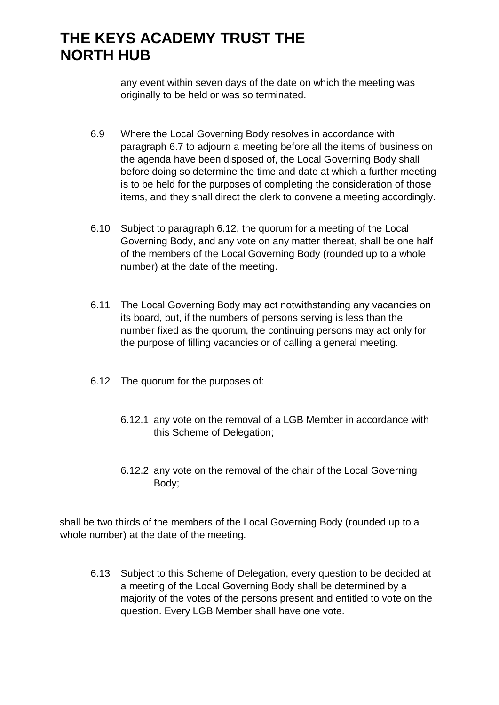any event within seven days of the date on which the meeting was originally to be held or was so terminated.

- 6.9 Where the Local Governing Body resolves in accordance with paragraph 6.7 to adjourn a meeting before all the items of business on the agenda have been disposed of, the Local Governing Body shall before doing so determine the time and date at which a further meeting is to be held for the purposes of completing the consideration of those items, and they shall direct the clerk to convene a meeting accordingly.
- 6.10 Subject to paragraph 6.12, the quorum for a meeting of the Local Governing Body, and any vote on any matter thereat, shall be one half of the members of the Local Governing Body (rounded up to a whole number) at the date of the meeting.
- 6.11 The Local Governing Body may act notwithstanding any vacancies on its board, but, if the numbers of persons serving is less than the number fixed as the quorum, the continuing persons may act only for the purpose of filling vacancies or of calling a general meeting.
- 6.12 The quorum for the purposes of:
	- 6.12.1 any vote on the removal of a LGB Member in accordance with this Scheme of Delegation;
	- 6.12.2 any vote on the removal of the chair of the Local Governing Body;

shall be two thirds of the members of the Local Governing Body (rounded up to a whole number) at the date of the meeting.

6.13 Subject to this Scheme of Delegation, every question to be decided at a meeting of the Local Governing Body shall be determined by a majority of the votes of the persons present and entitled to vote on the question. Every LGB Member shall have one vote.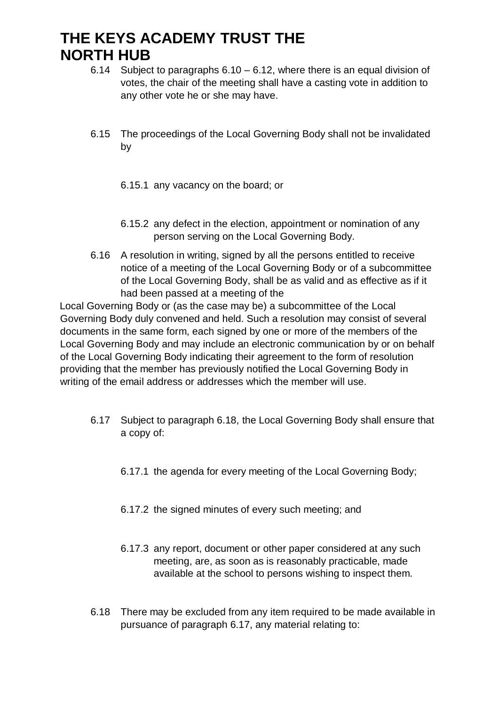- 6.14 Subject to paragraphs 6.10 6.12, where there is an equal division of votes, the chair of the meeting shall have a casting vote in addition to any other vote he or she may have.
- 6.15 The proceedings of the Local Governing Body shall not be invalidated by
	- 6.15.1 any vacancy on the board; or
	- 6.15.2 any defect in the election, appointment or nomination of any person serving on the Local Governing Body.
- 6.16 A resolution in writing, signed by all the persons entitled to receive notice of a meeting of the Local Governing Body or of a subcommittee of the Local Governing Body, shall be as valid and as effective as if it had been passed at a meeting of the

Local Governing Body or (as the case may be) a subcommittee of the Local Governing Body duly convened and held. Such a resolution may consist of several documents in the same form, each signed by one or more of the members of the Local Governing Body and may include an electronic communication by or on behalf of the Local Governing Body indicating their agreement to the form of resolution providing that the member has previously notified the Local Governing Body in writing of the email address or addresses which the member will use.

- 6.17 Subject to paragraph 6.18, the Local Governing Body shall ensure that a copy of:
	- 6.17.1 the agenda for every meeting of the Local Governing Body;
	- 6.17.2 the signed minutes of every such meeting; and
	- 6.17.3 any report, document or other paper considered at any such meeting, are, as soon as is reasonably practicable, made available at the school to persons wishing to inspect them.
- 6.18 There may be excluded from any item required to be made available in pursuance of paragraph 6.17, any material relating to: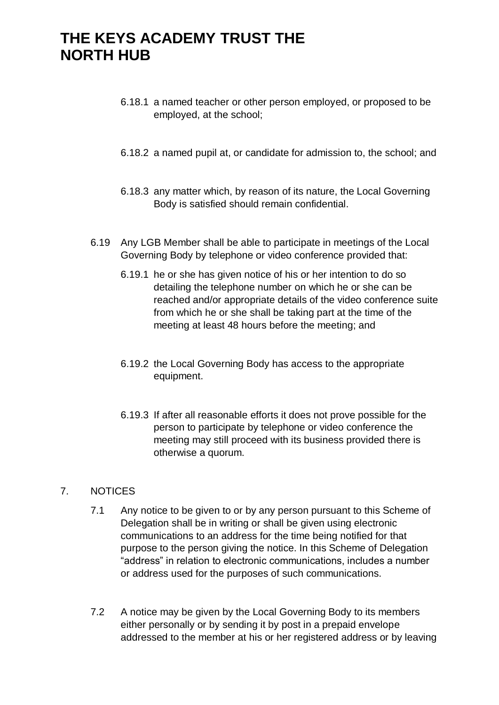- 6.18.1 a named teacher or other person employed, or proposed to be employed, at the school;
- 6.18.2 a named pupil at, or candidate for admission to, the school; and
- 6.18.3 any matter which, by reason of its nature, the Local Governing Body is satisfied should remain confidential.
- 6.19 Any LGB Member shall be able to participate in meetings of the Local Governing Body by telephone or video conference provided that:
	- 6.19.1 he or she has given notice of his or her intention to do so detailing the telephone number on which he or she can be reached and/or appropriate details of the video conference suite from which he or she shall be taking part at the time of the meeting at least 48 hours before the meeting; and
	- 6.19.2 the Local Governing Body has access to the appropriate equipment.
	- 6.19.3 If after all reasonable efforts it does not prove possible for the person to participate by telephone or video conference the meeting may still proceed with its business provided there is otherwise a quorum.

#### 7. NOTICES

- 7.1 Any notice to be given to or by any person pursuant to this Scheme of Delegation shall be in writing or shall be given using electronic communications to an address for the time being notified for that purpose to the person giving the notice. In this Scheme of Delegation "address" in relation to electronic communications, includes a number or address used for the purposes of such communications.
- 7.2 A notice may be given by the Local Governing Body to its members either personally or by sending it by post in a prepaid envelope addressed to the member at his or her registered address or by leaving